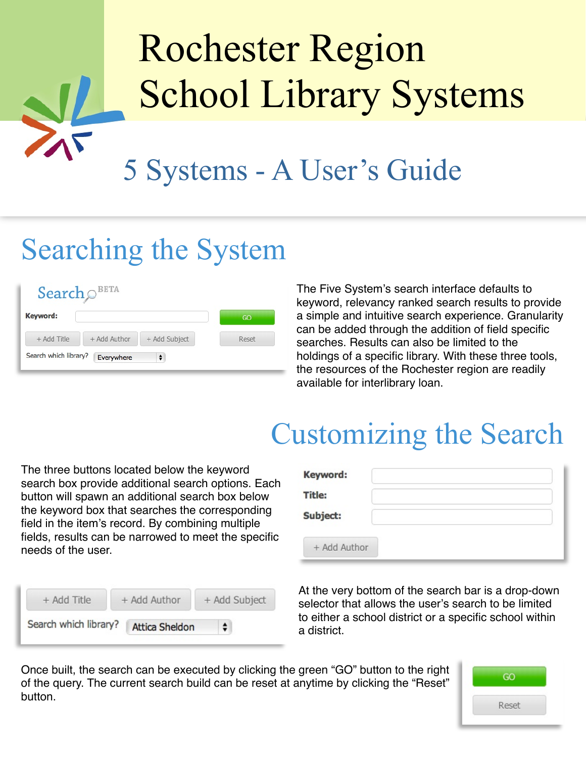# 5 Systems - A User's Guide Rochester Region School Library Systems

### Searching the System

#### Search  $\odot$ <sup>BETA</sup>

| Keyword:              |              |               | GO    |
|-----------------------|--------------|---------------|-------|
| + Add Title           | + Add Author | + Add Subject | Reset |
| Search which library? | Everywhere   | $\div$        |       |

The Five System's search interface defaults to keyword, relevancy ranked search results to provide a simple and intuitive search experience. Granularity can be added through the addition of field specific searches. Results can also be limited to the holdings of a specific library. With these three tools, the resources of the Rochester region are readily available for interlibrary loan.

### Customizing the Search

The three buttons located below the keyword search box provide additional search options. Each button will spawn an additional search box below the keyword box that searches the corresponding field in the item's record. By combining multiple fields, results can be narrowed to meet the specific needs of the user.

| + Add Title           | + Add Author          | + Add Subject |
|-----------------------|-----------------------|---------------|
| Search which library? | <b>Attica Sheldon</b> |               |

| Keyword:      |  |
|---------------|--|
| <b>Title:</b> |  |
| Subject:      |  |
| + Add Author  |  |

At the very bottom of the search bar is a drop-down selector that allows the user's search to be limited to either a school district or a specific school within a district.

Once built, the search can be executed by clicking the green "GO" button to the right of the query. The current search build can be reset at anytime by clicking the "Reset" button.

| ദറ    |  |
|-------|--|
| Reset |  |
|       |  |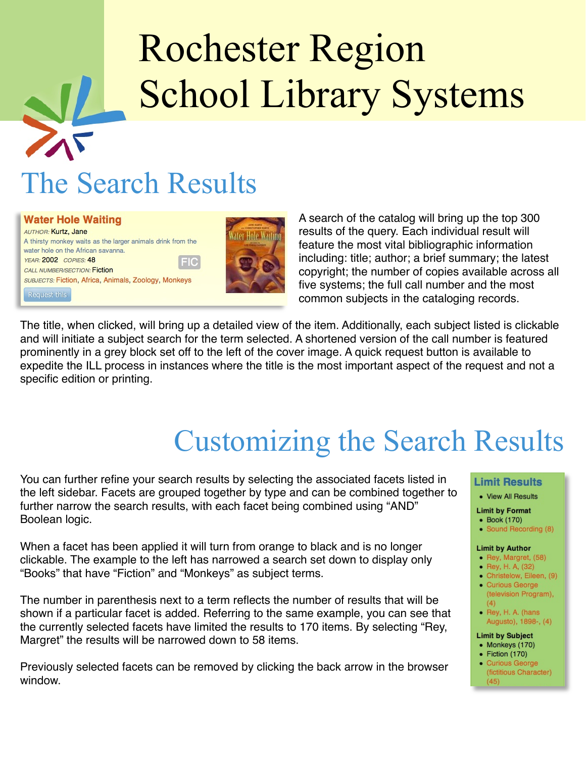## The Search Results



A search of the catalog will bring up the top 300 results of the query. Each individual result will feature the most vital bibliographic information including: title; author; a brief summary; the latest copyright; the number of copies available across all five systems; the full call number and the most common subjects in the cataloging records.

The title, when clicked, will bring up a detailed view of the item. Additionally, each subject listed is clickable and will initiate a subject search for the term selected. A shortened version of the call number is featured prominently in a grey block set off to the left of the cover image. A quick request button is available to expedite the ILL process in instances where the title is the most important aspect of the request and not a specific edition or printing.

## Customizing the Search Results

You can further refine your search results by selecting the associated facets listed in the left sidebar. Facets are grouped together by type and can be combined together to further narrow the search results, with each facet being combined using "AND" Boolean logic.

When a facet has been applied it will turn from orange to black and is no longer clickable. The example to the left has narrowed a search set down to display only "Books" that have "Fiction" and "Monkeys" as subject terms.

The number in parenthesis next to a term reflects the number of results that will be shown if a particular facet is added. Referring to the same example, you can see that the currently selected facets have limited the results to 170 items. By selecting "Rey, Margret" the results will be narrowed down to 58 items.

Previously selected facets can be removed by clicking the back arrow in the browser window.

#### **Limit Results**

• View All Results

#### **Limit by Format**

- Book (170)
- Sound Recording (8)

#### **Limit by Author**

- Rey, Margret, (58)
- Rey, H. A, (32)
- · Christelow, Eileen, (9) · Curious George
- (television Program),  $(4)$ • Rey, H. A. (hans
- Augusto), 1898-, (4)

#### **Limit by Subject**

- Monkeys (170)
- $\bullet$  Fiction (170) • Curious George
	- (fictitious Character)  $(45)$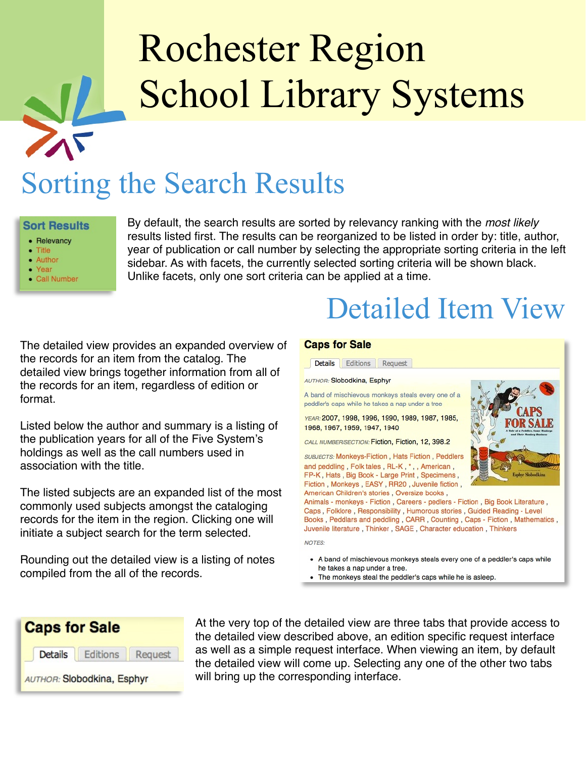### Sorting the Search Results

#### **Sort Results**

- Relevancy
- $-$  Title
- Author
- Year • Call Number

By default, the search results are sorted by relevancy ranking with the *most likely* results listed first. The results can be reorganized to be listed in order by: title, author, year of publication or call number by selecting the appropriate sorting criteria in the left sidebar. As with facets, the currently selected sorting criteria will be shown black. Unlike facets, only one sort criteria can be applied at a time.

The detailed view provides an expanded overview of the records for an item from the catalog. The detailed view brings together information from all of the records for an item, regardless of edition or format.

Listed below the author and summary is a listing of the publication years for all of the Five System's holdings as well as the call numbers used in association with the title.

The listed subjects are an expanded list of the most commonly used subjects amongst the cataloging records for the item in the region. Clicking one will initiate a subject search for the term selected.

Rounding out the detailed view is a listing of notes compiled from the all of the records.

#### **Caps for Sale**



Detailed Item View

- A band of mischievous monkeys steals every one of a peddler's caps while he takes a nap under a tree.
- The monkeys steal the peddler's caps while he is asleep.



At the very top of the detailed view are three tabs that provide access to the detailed view described above, an edition specific request interface as well as a simple request interface. When viewing an item, by default the detailed view will come up. Selecting any one of the other two tabs will bring up the corresponding interface.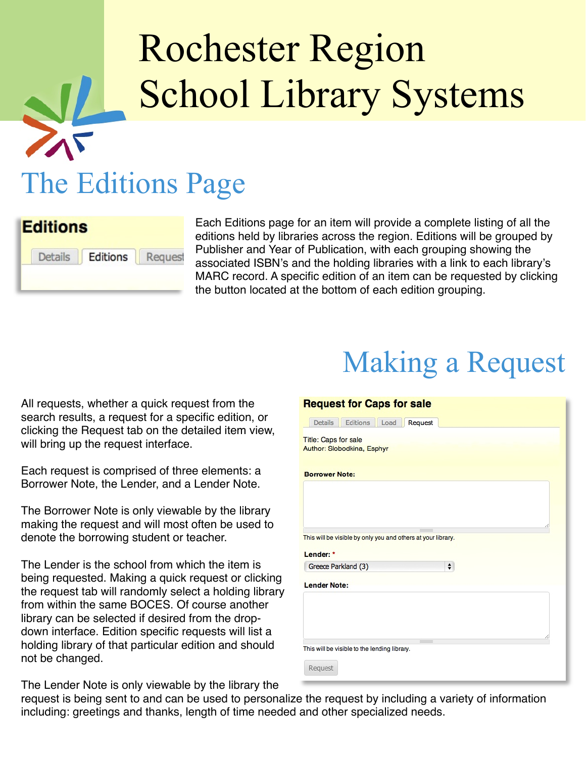## The Editions Page



Each Editions page for an item will provide a complete listing of all the editions held by libraries across the region. Editions will be grouped by Publisher and Year of Publication, with each grouping showing the associated ISBN's and the holding libraries with a link to each library's MARC record. A specific edition of an item can be requested by clicking the button located at the bottom of each edition grouping.

All requests, whether a quick request from the search results, a request for a specific edition, or clicking the Request tab on the detailed item view, will bring up the request interface.

Each request is comprised of three elements: a Borrower Note, the Lender, and a Lender Note.

The Borrower Note is only viewable by the library making the request and will most often be used to denote the borrowing student or teacher.

The Lender is the school from which the item is being requested. Making a quick request or clicking the request tab will randomly select a holding library from within the same BOCES. Of course another library can be selected if desired from the dropdown interface. Edition specific requests will list a holding library of that particular edition and should not be changed.

## Making a Request

| <b>Request for Caps for sale</b>                                          |
|---------------------------------------------------------------------------|
| Editions<br><b>Details</b><br>Load<br>Request                             |
| <b>Title: Caps for sale</b><br><b>Author: Slobodkina, Esphyr</b>          |
| <b>Borrower Note:</b>                                                     |
|                                                                           |
| This will be visible by only you and others at your library.<br>Lender: * |
| $\div$<br>Greece Parkland (3)                                             |
| <b>Lender Note:</b>                                                       |
|                                                                           |
| This will be visible to the lending library.<br><b>Request</b>            |

The Lender Note is only viewable by the library the

request is being sent to and can be used to personalize the request by including a variety of information including: greetings and thanks, length of time needed and other specialized needs.